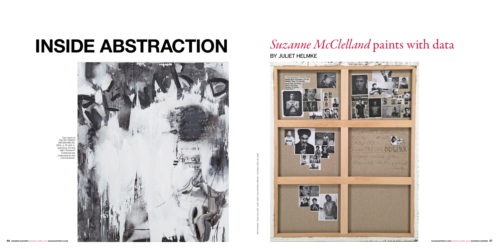

## BY Juliet Helmke

Both Pages: Team Gallery, New York; Following Spread: Suzanne McClelland

Two views of *Top Ten: Robert \$80,000,000.XX*, 2016, a 72 x 60 in. painting. On the right, research materials are collected on the canvas back.

## INSIDE ABSTRACTION *Suzanne McClelland* paints with data

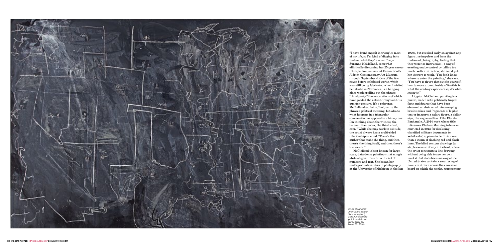

*Since Oklahoma After Johns Before Tomorrow (splc)*, 2015. Chalkboard paint, pastel, and spray paint on linen, 78 x 123 in.

"I have found myself in triangles most of my life, so I'm kind of digging in to find out what they're about," says Suzanne McClelland, somewhat elliptically discussing her 25-year career retrospective, on view at Connecticut's Aldrich Contemporary Art Museum through September 4. One of the few, never-before-exhibited works, which was still being fabricated when I visited her studio in November, is a hanging glass work spelling out the phrase "third party," the associations of which have goaded the artist throughout this quarter-century. It's a reference, McClelland explains, "not just to the phrase's political meaning, but also to what happens in a triangular conversation as opposed to a binary one. I'm thinking about the witness; the listener; the reader; the third wheel, even." While she may work in solitude, the artist always has a multi-sided relationship in mind: "There's the author that made the thing, and then there's the thing itself, and then there's the viewer."

McClelland is best known for largescale, data-dense paintings that mingle abstract gestures with a thicket of numbers and text. She began her undergraduate studies in photography at the University of Michigan in the late

1970s, but revolted early on against any figurative impulses and from the realism of photography, feeling that they were too instructive—a way of exerting undue control by telling too much. With abstraction, she could put her viewers to work. "You don't know where to enter the painting," she says. "You have to figure that out for yourself, how to move around inside of it—this is what the reading experience is; it's what *seeing* is."

A typical McClelland painting is a puzzle, loaded with politically tinged facts and figures that have been obscured or abstracted into sweeping brushstrokes and fragments of legible text or imagery: a salary figure, a dollar sign, the vague outline of the Florida Panhandle. A 2014 work whose title references Chelsea Manning (who was convicted in 2013 for disclosing classified military documents to WikiLeaks) appears to be little more than a storm of slashing red and black lines. The blind contour drawings (a staple exercise of any art school, where the artist constructs a line drawing without being able to see her own marks) that she's been making of the United States contain a smattering of numbers strewn across the canvas or board on which she works, representing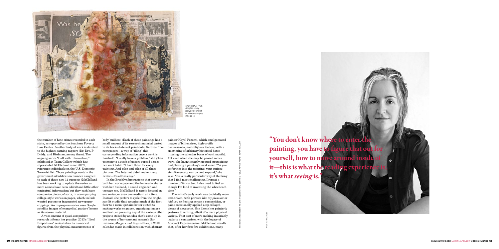Kimberly and Robert Fischer collection, Detroit; Following Spread: Team Gallery

the number of hate crimes recorded in each state, as reported by the Southern Poverty Law Center. Another body of work is devoted to the highest-earning rappers (Dr. Dre, P. Diddy, and Birdman, among them). The ongoing series "Call with Information," exhibited at Team Gallery (which has represented McClelland since 2012), reference individuals on the U.S. Domestic Terrorist list. Those paintings contain the government identification number assigned to each of these now 14 suspects (McClelland has been working to update the series as more names have been added) and little other contextual information; but they each have companion pieces, of sorts, in accompanying collage-style works on paper, which include wanted posters or fragmented newspaper clippings. An in-progress series uses Google satellite images of evangelical pastors' homes as its source material.

A vast amount of quasi-compulsive research informs her practice. 2013's "Ideal Proportions" series takes its numerical figures from the physical measurements of

body builders. (Each of these paintings has a small amount of its research material pasted to its back—Internet print-outs, Xeroxes from newspapers—a way of "filing" this corresponding information once a work is finished). "I really have a problem," she jokes, pointing to a stack of papers spread across her work table. "I have these for every painting. And piles and piles of all these pictures. The Internet didn't make it any better—it's all too easy."

In the Brooklyn brownstone that serves as both her workspace and the home she shares with her husband, a sound engineer, and teenage son, McClelland is rarely focused on one series, or even one medium at a time. Instead, she prefers to cycle from the bright, sun-lit studio that occupies much of the first floor to a room upstairs better suited to making works on paper, organizing images and text, or pursuing any of the various other projects stoked by an idea that's come up in the course of her constant research (for instance, *Mergers and Acquisitions,* a 2012 calendar made in collaboration with abstract

painter Hayal Pozanti, which amalgamated images of billionaires, high-profile businessmen, and religious leaders, with a smattering of arbitrary historical dates littering the calendar boxes of each month). Yet even when she may be paused in her work, she hasn't exactly stopped strategizing and plotting a painting's next move. "As you go further into the painting, your options simultaneously narrow and expand," she says. "It's a really particular way of thinking that I find most challenging. I repeat a number of forms, but I also need to feel as though I'm kind of inventing the wheel each time."

The artist's early work was decidedly more text-driven, with phrases *like my pleasure* or *told you so* floating across a composition, or paint occasionally applied atop collaged pieces of newsprint. She likens her painterly gestures to writing, albeit of a more physical variety. That sort of mark making invariably leads to a comparison with the legacy of Abstract Expressionism. McClelland recalls that, after her first few exhibitions, many



Costas Picades



*Shot in DC*, 1995. Acrylex, clay, polyester sheet, and newspaper, 22 x 27 in.